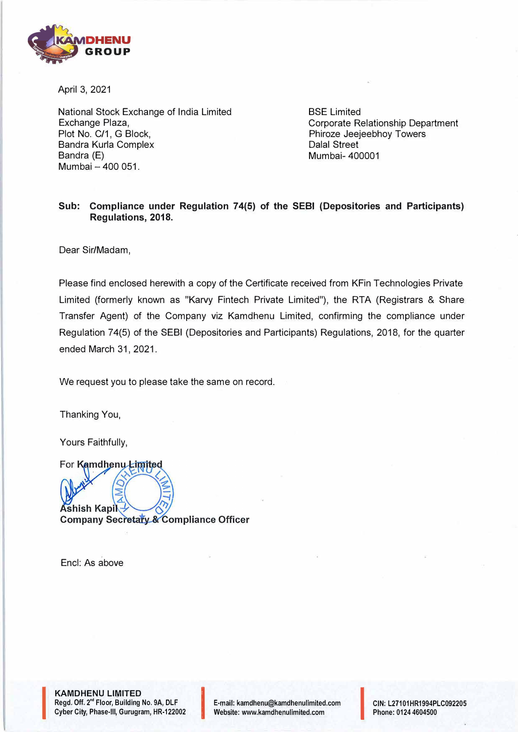

April 3, 2021

National Stock Exchange of India Limited Exchange Plaza, Plot No. C/1, G Block, Sandra Kurla Complex Bandra (E) Mumbai - 400 051.

BSE Limited Corporate Relationship Department Phiroze Jeejeebhoy Towers Dalal Street Mumbai- 400001

## **Sub: Compliance under Regulation 74(5) of the SEBI (Depositories and Participants) Regulations, 2018.**

Dear Sir/Madam,

Please find enclosed herewith a copy of the Certificate received from KFin Technologies Private Limited (formerly known as "Karvy Fintech Private Limited"), the RTA (Registrars & Share Transfer Agent) of the Company viz Kamdhenu Limited, confirming the compliance under Regulation 7 4(5) of the SEBI (Depositories and Participants) Regulations, 2018, for the quarter ended March 31, 2021.

We request you to please take the same on record.

Thanking You,

Yours Faithfully,

For Kamdhenu Limited **Ashish Kapil Company Secretary & Compliance Officer** 

Encl: As above

**International Contract of the Contract of Contract of the Contract of Contract of Contract of Contract of Contract of Contract of Contract of Contract of Contract of Contract of Contract of Contract of Contract of Contrac** 

**KAMDHENU LIMITED**  Regd. Off. 2<sup>nd</sup> Floor, Building No. 9A, DLF<br>Cyber City, Phase-III, Gurugram, HR-122002 KAMDHENU LIMITED<br>Regd. Off. 2<sup>nd</sup> Floor, Building No. 9A, DLF F-mail: kamdhenu@kamdhenulimited.com<br>Cyber City, Phase-III, Gurugram, HR-122002 Vebsite: www.kamdhenulimited.com

E-mail: kamdhenu@kamdhenulimited.com<br>Website: www.kamdhenulimited.com

CIN: L27101HR1994PLC092205 Phone: 0124 4604500